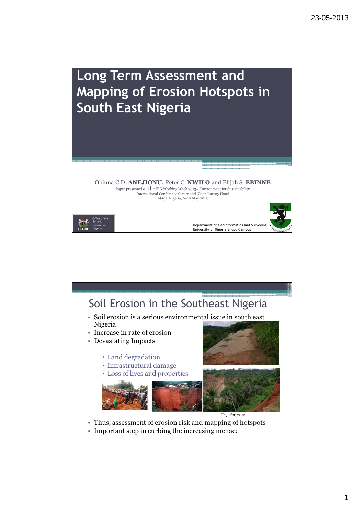

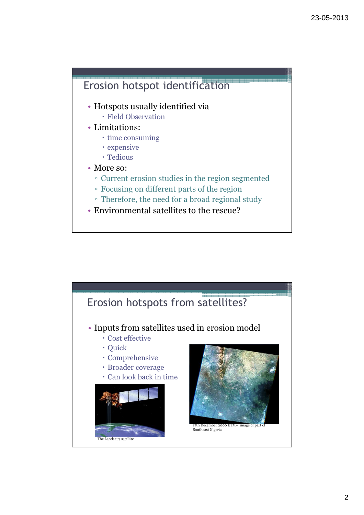## Erosion hotspot identification

- Hotspots usually identified via Field Observation
- Limitations:
	- time consuming
	- expensive
	- Tedious
- More so:
	- Current erosion studies in the region segmented
	- Focusing on different parts of the region
	- Therefore, the need for a broad regional study
- Environmental satellites to the rescue?

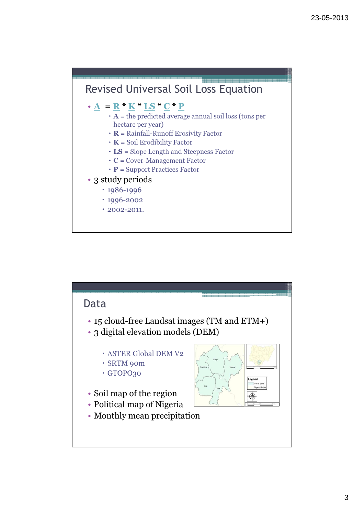

## $\cdot$  A = R \* K \* LS \* C \* P

- $\cdot$  **A** = the predicted average annual soil loss (tons per hectare per year)
- $\cdot$  **R** = Rainfall-Runoff Erosivity Factor
- $\cdot$  K = Soil Erodibility Factor
- LS = Slope Length and Steepness Factor
- $\cdot$  **C** = Cover-Management Factor
- $\cdot$  **P** = Support Practices Factor
- 3 study periods
	- $\cdot$  1986-1996
	- 1996-2002
	- $\cdot$  2002-2011.

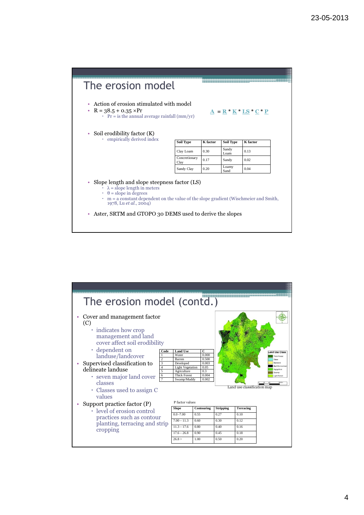

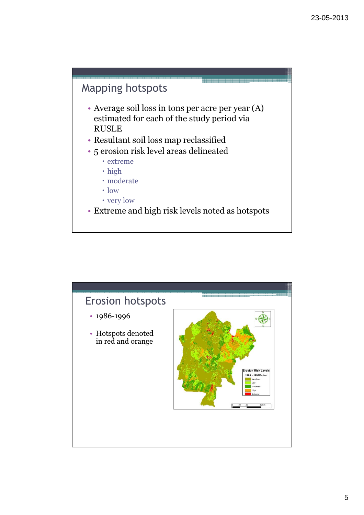## Mapping hotspots

- Average soil loss in tons per acre per year (A) estimated for each of the study period via RUSLE
- Resultant soil loss map reclassified
- 5 erosion risk level areas delineated
	- extreme
	- · high
	- moderate
	- $\cdot$  low
	- very low
- Extreme and high risk levels noted as hotspots

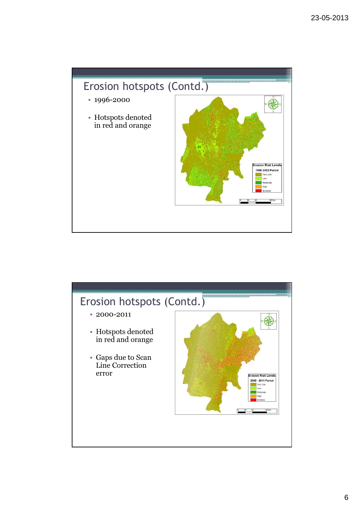

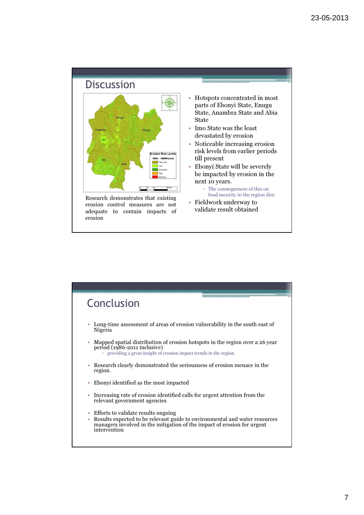